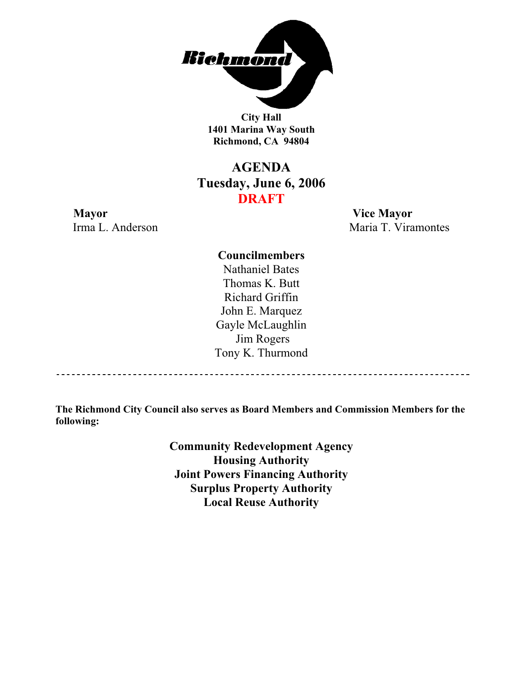

**City Hall 1401 Marina Way South Richmond, CA 94804** 

# **AGENDA Tuesday, June 6, 2006 DRAFT**

# **Mayor Vice Mayor**

Irma L. Anderson Maria T. Viramontes

**Councilmembers** Nathaniel Bates Thomas K. Butt Richard Griffin John E. Marquez Gayle McLaughlin Jim Rogers Tony K. Thurmond

------------------------------------

**The Richmond City Council also serves as Board Members and Commission Members for the following:** 

> **Community Redevelopment Agency Housing Authority Joint Powers Financing Authority Surplus Property Authority Local Reuse Authority**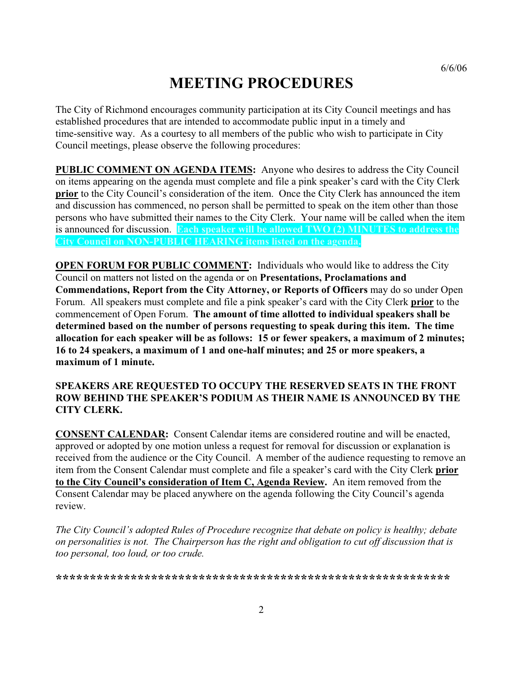# **MEETING PROCEDURES**

The City of Richmond encourages community participation at its City Council meetings and has established procedures that are intended to accommodate public input in a timely and time-sensitive way. As a courtesy to all members of the public who wish to participate in City Council meetings, please observe the following procedures:

**PUBLIC COMMENT ON AGENDA ITEMS:** Anyone who desires to address the City Council on items appearing on the agenda must complete and file a pink speaker's card with the City Clerk **prior** to the City Council's consideration of the item. Once the City Clerk has announced the item and discussion has commenced, no person shall be permitted to speak on the item other than those persons who have submitted their names to the City Clerk. Your name will be called when the item is announced for discussion. **Each speaker will be allowed TWO (2) MINUTES to address the City Council on NON-PUBLIC HEARING items listed on the agenda.**

**OPEN FORUM FOR PUBLIC COMMENT:** Individuals who would like to address the City Council on matters not listed on the agenda or on **Presentations, Proclamations and Commendations, Report from the City Attorney, or Reports of Officers** may do so under Open Forum. All speakers must complete and file a pink speaker's card with the City Clerk **prior** to the commencement of Open Forum. **The amount of time allotted to individual speakers shall be determined based on the number of persons requesting to speak during this item. The time allocation for each speaker will be as follows: 15 or fewer speakers, a maximum of 2 minutes; 16 to 24 speakers, a maximum of 1 and one-half minutes; and 25 or more speakers, a maximum of 1 minute.** 

#### **SPEAKERS ARE REQUESTED TO OCCUPY THE RESERVED SEATS IN THE FRONT ROW BEHIND THE SPEAKER'S PODIUM AS THEIR NAME IS ANNOUNCED BY THE CITY CLERK.**

**CONSENT CALENDAR:** Consent Calendar items are considered routine and will be enacted, approved or adopted by one motion unless a request for removal for discussion or explanation is received from the audience or the City Council. A member of the audience requesting to remove an item from the Consent Calendar must complete and file a speaker's card with the City Clerk **prior to the City Council's consideration of Item C, Agenda Review.** An item removed from the Consent Calendar may be placed anywhere on the agenda following the City Council's agenda review.

*The City Council's adopted Rules of Procedure recognize that debate on policy is healthy; debate on personalities is not. The Chairperson has the right and obligation to cut off discussion that is too personal, too loud, or too crude.* 

**\*\*\*\*\*\*\*\*\*\*\*\*\*\*\*\*\*\*\*\*\*\*\*\*\*\*\*\*\*\*\*\*\*\*\*\*\*\*\*\*\*\*\*\*\*\*\*\*\*\*\*\*\*\*\*\*\*\***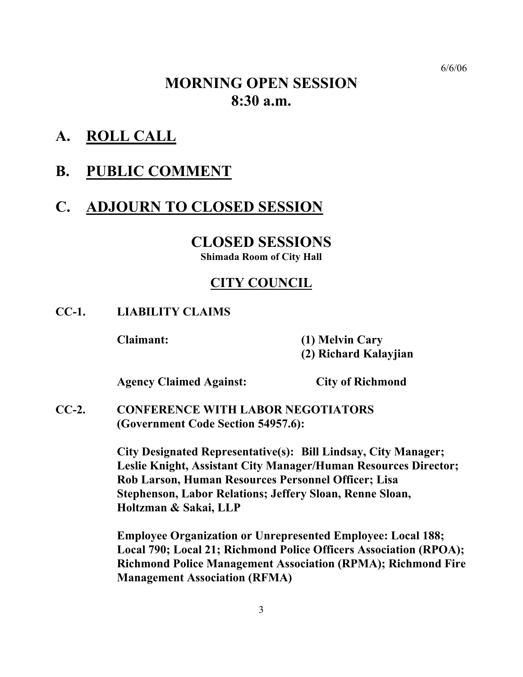# **MORNING OPEN SESSION 8:30 a.m.**

**A. ROLL CALL**

## **B. PUBLIC COMMENT**

# **C. ADJOURN TO CLOSED SESSION**

### **CLOSED SESSIONS Shimada Room of City Hall**

### **CITY COUNCIL**

### **CC-1. LIABILITY CLAIMS**

 **Claimant: (1) Melvin Cary (2) Richard Kalayjian** 

 **Agency Claimed Against: City of Richmond** 

**CC-2. CONFERENCE WITH LABOR NEGOTIATORS (Government Code Section 54957.6):** 

> **City Designated Representative(s): Bill Lindsay, City Manager; Leslie Knight, Assistant City Manager/Human Resources Director; Rob Larson, Human Resources Personnel Officer; Lisa Stephenson, Labor Relations; Jeffery Sloan, Renne Sloan, Holtzman & Sakai, LLP**

 **Employee Organization or Unrepresented Employee: Local 188; Local 790; Local 21; Richmond Police Officers Association (RPOA); Richmond Police Management Association (RPMA); Richmond Fire Management Association (RFMA)**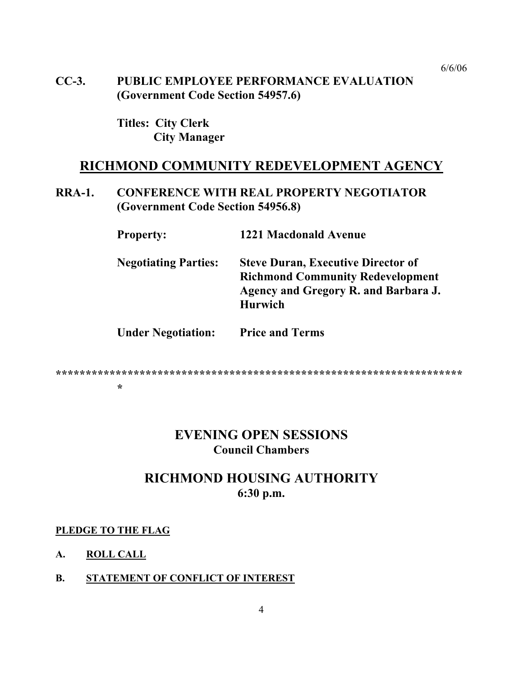**CC-3. PUBLIC EMPLOYEE PERFORMANCE EVALUATION (Government Code Section 54957.6)** 

> **Titles: City Clerk City Manager**

### **RICHMOND COMMUNITY REDEVELOPMENT AGENCY**

### **RRA-1. CONFERENCE WITH REAL PROPERTY NEGOTIATOR (Government Code Section 54956.8)**

| <b>Property:</b>            | <b>1221 Macdonald Avenue</b>                                                                                                                   |
|-----------------------------|------------------------------------------------------------------------------------------------------------------------------------------------|
| <b>Negotiating Parties:</b> | <b>Steve Duran, Executive Director of</b><br><b>Richmond Community Redevelopment</b><br>Agency and Gregory R. and Barbara J.<br><b>Hurwich</b> |
| <b>Under Negotiation:</b>   | <b>Price and Terms</b>                                                                                                                         |

#### **\*\*\*\*\*\*\*\*\*\*\*\*\*\*\*\*\*\*\*\*\*\*\*\*\*\*\*\*\*\*\*\*\*\*\*\*\*\*\*\*\*\*\*\*\*\*\*\*\*\*\*\*\*\*\*\*\*\*\*\*\*\*\*\*\*\*\*\* \***

### **EVENING OPEN SESSIONS Council Chambers**

### **RICHMOND HOUSING AUTHORITY 6:30 p.m.**

#### **PLEDGE TO THE FLAG**

#### **A. ROLL CALL**

#### **B. STATEMENT OF CONFLICT OF INTEREST**

6/6/06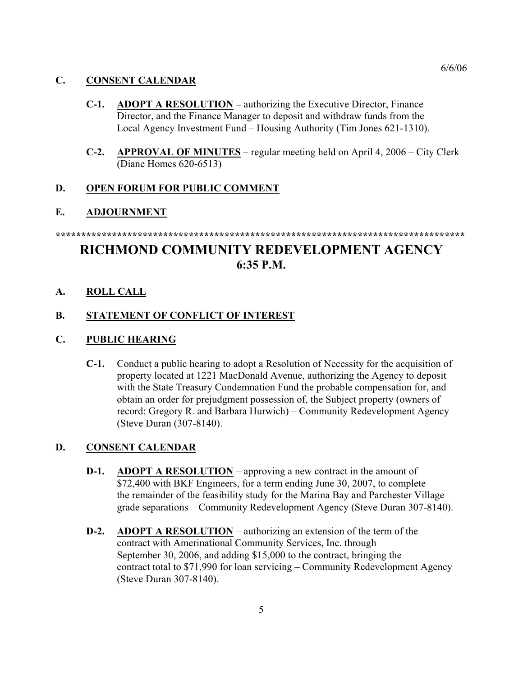#### **C. CONSENT CALENDAR**

- **C-1. ADOPT A RESOLUTION** authorizing the Executive Director, Finance Director, and the Finance Manager to deposit and withdraw funds from the Local Agency Investment Fund – Housing Authority (Tim Jones 621-1310).
- **C-2. APPROVAL OF MINUTES** regular meeting held on April 4, 2006 City Clerk (Diane Homes 620-6513)

#### **D. OPEN FORUM FOR PUBLIC COMMENT**

#### **E. ADJOURNMENT**

# **RICHMOND COMMUNITY REDEVELOPMENT AGENCY 6:35 P.M.**

**\*\*\*\*\*\*\*\*\*\*\*\*\*\*\*\*\*\*\*\*\*\*\*\*\*\*\*\*\*\*\*\*\*\*\*\*\*\*\*\*\*\*\*\*\*\*\*\*\*\*\*\*\*\*\*\*\*\*\*\*\*\*\*\*\*\*\*\*\*\*\*\*\*\*\*\*\*\*\*\***

**A. ROLL CALL**

#### **B. STATEMENT OF CONFLICT OF INTEREST**

#### **C. PUBLIC HEARING**

**C-1.** Conduct a public hearing to adopt a Resolution of Necessity for the acquisition of property located at 1221 MacDonald Avenue, authorizing the Agency to deposit with the State Treasury Condemnation Fund the probable compensation for, and obtain an order for prejudgment possession of, the Subject property (owners of record: Gregory R. and Barbara Hurwich) – Community Redevelopment Agency (Steve Duran (307-8140).

#### **D. CONSENT CALENDAR**

- **D-1.** ADOPT A RESOLUTION approving a new contract in the amount of \$72,400 with BKF Engineers, for a term ending June 30, 2007, to complete the remainder of the feasibility study for the Marina Bay and Parchester Village grade separations – Community Redevelopment Agency (Steve Duran 307-8140).
- **D-2.** ADOPT A RESOLUTION authorizing an extension of the term of the contract with Amerinational Community Services, Inc. through September 30, 2006, and adding \$15,000 to the contract, bringing the contract total to \$71,990 for loan servicing – Community Redevelopment Agency (Steve Duran 307-8140).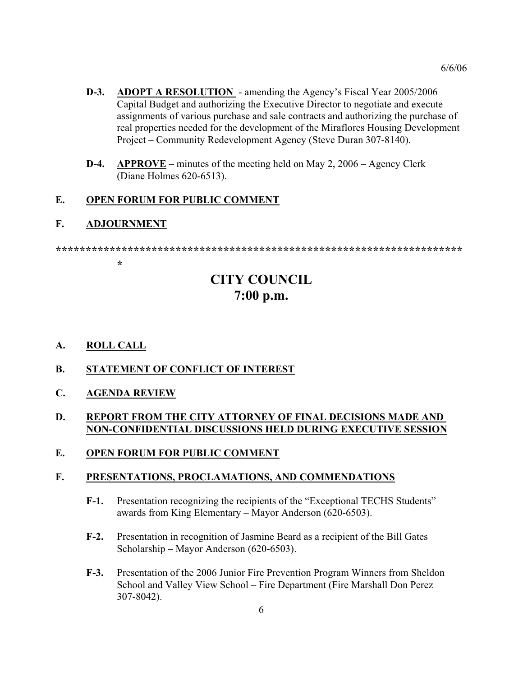- **D-3.** ADOPT A RESOLUTION amending the Agency's Fiscal Year 2005/2006 Capital Budget and authorizing the Executive Director to negotiate and execute assignments of various purchase and sale contracts and authorizing the purchase of real properties needed for the development of the Miraflores Housing Development Project – Community Redevelopment Agency (Steve Duran 307-8140).
- **D-4. APPROVE** minutes of the meeting held on May 2, 2006 Agency Clerk (Diane Holmes 620-6513).

#### **E. OPEN FORUM FOR PUBLIC COMMENT**

#### **F. ADJOURNMENT**

#### **\*\*\*\*\*\*\*\*\*\*\*\*\*\*\*\*\*\*\*\*\*\*\*\*\*\*\*\*\*\*\*\*\*\*\*\*\*\*\*\*\*\*\*\*\*\*\*\*\*\*\*\*\*\*\*\*\*\*\*\*\*\*\*\*\*\*\*\***

### **\***

# **CITY COUNCIL 7:00 p.m.**

- **A. ROLL CALL**
- **B. STATEMENT OF CONFLICT OF INTEREST**
- **C. AGENDA REVIEW**

#### **D. REPORT FROM THE CITY ATTORNEY OF FINAL DECISIONS MADE AND NON-CONFIDENTIAL DISCUSSIONS HELD DURING EXECUTIVE SESSION**

#### **E. OPEN FORUM FOR PUBLIC COMMENT**

#### **F. PRESENTATIONS, PROCLAMATIONS, AND COMMENDATIONS**

- **F-1.** Presentation recognizing the recipients of the "Exceptional TECHS Students" awards from King Elementary – Mayor Anderson (620-6503).
- **F-2.** Presentation in recognition of Jasmine Beard as a recipient of the Bill Gates Scholarship – Mayor Anderson (620-6503).
- **F-3.** Presentation of the 2006 Junior Fire Prevention Program Winners from Sheldon School and Valley View School – Fire Department (Fire Marshall Don Perez 307-8042).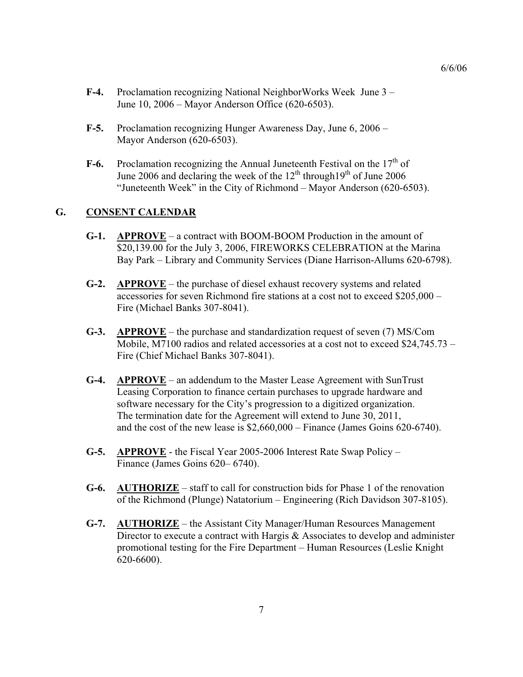- **F-4.** Proclamation recognizing National NeighborWorks Week June 3 June 10, 2006 – Mayor Anderson Office (620-6503).
- **F-5.** Proclamation recognizing Hunger Awareness Day, June 6, 2006 Mayor Anderson (620-6503).
- **F-6.** Proclamation recognizing the Annual Juneteenth Festival on the  $17<sup>th</sup>$  of June 2006 and declaring the week of the  $12<sup>th</sup>$  through  $19<sup>th</sup>$  of June 2006 "Juneteenth Week" in the City of Richmond – Mayor Anderson (620-6503).

#### **G. CONSENT CALENDAR**

- **G-1. APPROVE** a contract with BOOM-BOOM Production in the amount of \$20,139.00 for the July 3, 2006, FIREWORKS CELEBRATION at the Marina Bay Park – Library and Community Services (Diane Harrison-Allums 620-6798).
- **G-2. APPROVE** the purchase of diesel exhaust recovery systems and related accessories for seven Richmond fire stations at a cost not to exceed \$205,000 – Fire (Michael Banks 307-8041).
- **G-3. APPROVE** the purchase and standardization request of seven (7) MS/Com Mobile, M7100 radios and related accessories at a cost not to exceed \$24,745.73 – Fire (Chief Michael Banks 307-8041).
- **G-4. APPROVE** an addendum to the Master Lease Agreement with SunTrust Leasing Corporation to finance certain purchases to upgrade hardware and software necessary for the City's progression to a digitized organization. The termination date for the Agreement will extend to June 30, 2011, and the cost of the new lease is \$2,660,000 – Finance (James Goins 620-6740).
- **G-5. APPROVE** the Fiscal Year 2005-2006 Interest Rate Swap Policy Finance (James Goins 620– 6740).
- **G-6. AUTHORIZE** staff to call for construction bids for Phase 1 of the renovation of the Richmond (Plunge) Natatorium – Engineering (Rich Davidson 307-8105).
- **G-7. AUTHORIZE** the Assistant City Manager/Human Resources Management Director to execute a contract with Hargis & Associates to develop and administer promotional testing for the Fire Department – Human Resources (Leslie Knight 620-6600).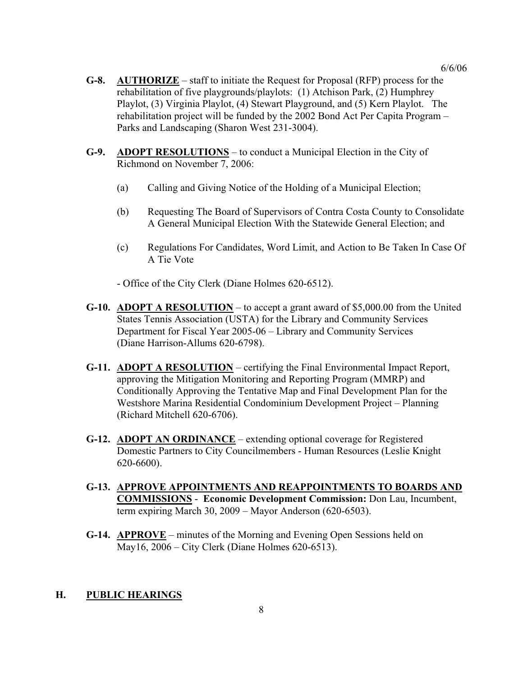- **G-8. AUTHORIZE** staff to initiate the Request for Proposal (RFP) process for the rehabilitation of five playgrounds/playlots: (1) Atchison Park, (2) Humphrey Playlot, (3) Virginia Playlot, (4) Stewart Playground, and (5) Kern Playlot. The rehabilitation project will be funded by the 2002 Bond Act Per Capita Program – Parks and Landscaping (Sharon West 231-3004).
- **G-9. ADOPT RESOLUTIONS** to conduct a Municipal Election in the City of Richmond on November 7, 2006:
	- (a) Calling and Giving Notice of the Holding of a Municipal Election;
	- (b) Requesting The Board of Supervisors of Contra Costa County to Consolidate A General Municipal Election With the Statewide General Election; and
	- (c) Regulations For Candidates, Word Limit, and Action to Be Taken In Case Of A Tie Vote

- Office of the City Clerk (Diane Holmes 620-6512).

- **G-10. ADOPT A RESOLUTION** to accept a grant award of \$5,000.00 from the United States Tennis Association (USTA) for the Library and Community Services Department for Fiscal Year 2005-06 – Library and Community Services (Diane Harrison-Allums 620-6798).
- **G-11. ADOPT A RESOLUTION** certifying the Final Environmental Impact Report, approving the Mitigation Monitoring and Reporting Program (MMRP) and Conditionally Approving the Tentative Map and Final Development Plan for the Westshore Marina Residential Condominium Development Project – Planning (Richard Mitchell 620-6706).
- **G-12. ADOPT AN ORDINANCE** extending optional coverage for Registered Domestic Partners to City Councilmembers - Human Resources (Leslie Knight 620-6600).
- **G-13. APPROVE APPOINTMENTS AND REAPPOINTMENTS TO BOARDS AND COMMISSIONS** - **Economic Development Commission:** Don Lau, Incumbent, term expiring March 30, 2009 – Mayor Anderson (620-6503).
- **G-14. APPROVE** minutes of the Morning and Evening Open Sessions held on May16, 2006 – City Clerk (Diane Holmes 620-6513).

#### **H. PUBLIC HEARINGS**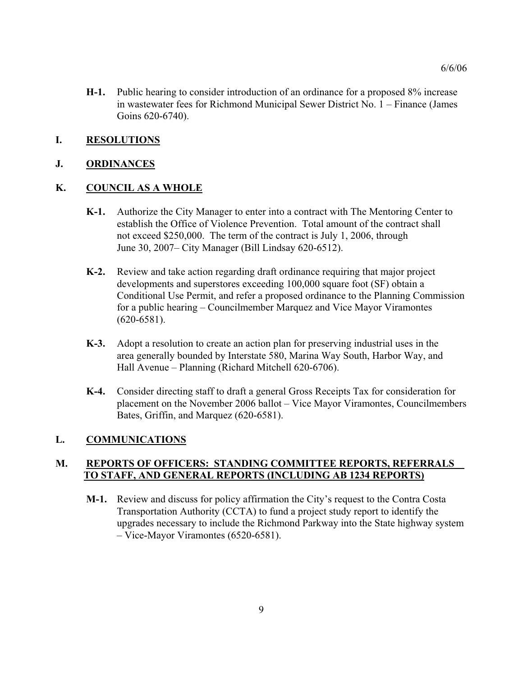**H-1.** Public hearing to consider introduction of an ordinance for a proposed 8% increase in wastewater fees for Richmond Municipal Sewer District No. 1 – Finance (James Goins 620-6740).

#### **I. RESOLUTIONS**

#### **J. ORDINANCES**

#### **K. COUNCIL AS A WHOLE**

- **K-1.** Authorize the City Manager to enter into a contract with The Mentoring Center to establish the Office of Violence Prevention. Total amount of the contract shall not exceed \$250,000. The term of the contract is July 1, 2006, through June 30, 2007– City Manager (Bill Lindsay 620-6512).
- **K-2.** Review and take action regarding draft ordinance requiring that major project developments and superstores exceeding 100,000 square foot (SF) obtain a Conditional Use Permit, and refer a proposed ordinance to the Planning Commission for a public hearing – Councilmember Marquez and Vice Mayor Viramontes (620-6581).
- **K-3.** Adopt a resolution to create an action plan for preserving industrial uses in the area generally bounded by Interstate 580, Marina Way South, Harbor Way, and Hall Avenue – Planning (Richard Mitchell 620-6706).
- **K-4.** Consider directing staff to draft a general Gross Receipts Tax for consideration for placement on the November 2006 ballot – Vice Mayor Viramontes, Councilmembers Bates, Griffin, and Marquez (620-6581).

#### **L. COMMUNICATIONS**

#### **M. REPORTS OF OFFICERS: STANDING COMMITTEE REPORTS, REFERRALS TO STAFF, AND GENERAL REPORTS (INCLUDING AB 1234 REPORTS)**

**M-1.** Review and discuss for policy affirmation the City's request to the Contra Costa Transportation Authority (CCTA) to fund a project study report to identify the upgrades necessary to include the Richmond Parkway into the State highway system – Vice-Mayor Viramontes (6520-6581).